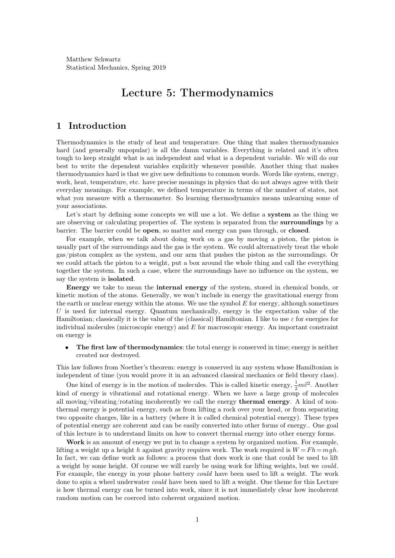Matthew Schwartz Statistical Mechanics, Spring 2019

# **Lecture 5: Thermodynamics**

# **1 Introduction**

Thermodynamics is the study of heat and temperature. One thing that makes thermodynamics hard (and generally unpopular) is all the damn variables. Everything is related and it's often tough to keep straight what is an independent and what is a dependent variable. We will do our best to write the dependent variables explicitly whenever possible. Another thing that makes thermodynamics hard is that we give new definitions to common words. Words like system, energy, work, heat, temperature, etc. have precise meanings in physics that do not always agree with their everyday meanings. For example, we defined temperature in terms of the number of states, not what you measure with a thermometer. So learning thermodynamics means unlearning some of your associations.

Let's start by defining some concepts we will use a lot. We define a **system** as the thing we are observing or calculating properties of. The system is separated from the **surroundings** by a barrier. The barrier could be **open**, so matter and energy can pass through, or **closed**.

For example, when we talk about doing work on a gas by moving a piston, the piston is usually part of the surroundings and the gas is the system. We could alternatively treat the whole gas/piston complex as the system, and our arm that pushes the piston as the surroundings. Or we could attach the piston to a weight, put a box around the whole thing and call the everything together the system. In such a case, where the surroundings have no influence on the system, we say the system is **isolated**.

**Energy** we take to mean the **internal energy** of the system, stored in chemical bonds, or kinetic motion of the atoms. Generally, we won't include in energy the gravitational energy from the earth or nuclear energy within the atoms. We use the symbol  $E$  for energy, although sometimes *U* is used for internal energy. Quantum mechanically, energy is the expectation value of the Hamiltonian; classically it is the value of the (classical) Hamiltonian. I like to use  $\varepsilon$  for energies for individual molecules (microscopic energy) and *E* for macroscopic energy. An important constraint on energy is

**The first law of thermodynamics:** the total energy is conserved in time; energy is neither created nor destroyed.

This law follows from Noether's theorem: energy isconserved in any system whose Hamiltonian is independent of time (you would prove it in an advanced classical mechanics or field theory class).

One kind of energy is in the motion of molecules. This is called kinetic energy,  $\frac{1}{2}m\vec{v}^2$ . Another kind of energy is vibrational and rotational energy. When we have a large group of molecules all moving/vibrating/rotating incoherently we call the energy **thermal energy**. A kind of non thermal energy ispotential energy, such asfrom lifting a rock over your head, or from separating two opposite charges, like in a battery (where it is called chemical potential energy). These types of potential energy are coherent and can be easily converted into other forms of energy.. One goal of this lecture is to understand limits on how to convert thermal energy into other energy forms.

**Work** is an amount of energy we put in to change a system by organized motion. For example, lifting a weight up a height *h* against gravity requires work. The work required is  $W = Fh = mgh$ . In fact, we can define work as follows: a process that does work is one that could be used to lift a weight by some height. Of course we will rarely be using work for lifting weights, but we *could*. For example, the energy in your phone battery *could* have been used to lift a weight. The work done to spin a wheel underwater *could* have been used to lift a weight. One theme for this Lecture is how thermal energy can be turned into work, since it is not immediately clear how incoherent random motion can be coerced into coherent organized motion.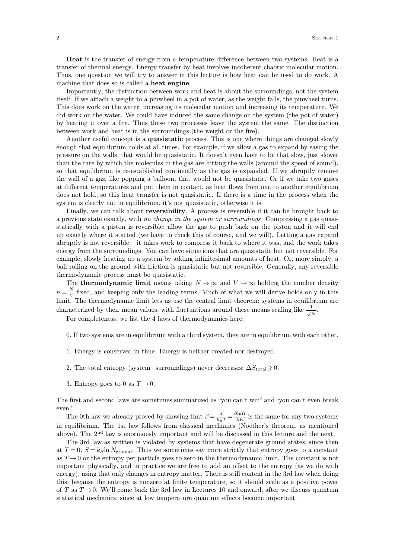**Heat** is the transfer of energy from a temperature difference between two systems. Heat is a transfer of thermal energy. Energy transfer by heat involves incoherent chaotic molecular motion. Thus, one question we will try to answer in this lecture is how heat can be used to do work. A machine that does so is called a **heat engine**.

Importantly, the distinction between work and heat is about the surroundings, not the system itself. If we attach a weight to a pinwheel in a pot of water, as the weight falls, the pinwheel turns. This does work on the water, increasing its molecular motion and increasing its temperature. We did work on the water. We could have induced the same change on the system (the pot of water) by heating it over a fire. Thus these two processes leave the system the same. The distinction between work and heat is in the surroundings (the weight or the fire).

Another useful concept is a **quasistatic** process. This is one where things are changed slowly enough that equilibrium holds at all times. For example, if we allow a gas to expand by easing the pressure on the walls, that would be quasistatic. It doesn't even have to be that slow, just slower than the rate by which the molecules in the gas are hitting the walls (around the speed of sound), so that equilibrium is re-established continually as the gas is expanded. If we abruptly remove the wall of a gas, like popping a balloon, that would not be quasistatic. Or if we take two gases at different temperatures and put them in contact, as heat flows from one to another equilibrium does not hold, so this heat transfer is not quasistatic. If there is a time in the process when the system is clearly not in equilibrium, it's not quasistatic, otherwise it is.

Finally, we can talk about **reversibility**. A process is reversible if it can be brought back to a previous state exactly, with *no change in the system or surroundings*. Compressing a gas quasi statically with a piston is reversible: allow the gas to push back on the piston and it will end up exactly where it started (we have to check this of course, and we will). Letting a gas expand abruptly is not reversible  $-$  it takes work to compress it back to where it was, and the work takes energy from the surroundings. You can have situations that are quasistatic but not reversible. For example, slowly heating up a system by adding infinitesimal amounts of heat. Or, more simply, a ball rolling on the ground with friction is quasistatic but not reversible. Generally, any reversible thermodynamic process must be quasistatic.

The **thermodynamic** limit means taking  $N \to \infty$  and  $V \to \infty$  holding the number density  $n = \frac{N}{V}$  fixed, and keeping only the leading terms. Much of what we will derive holds only in this limit. The thermodynamic limit lets us use the central limit theorem: systems in equilibrium are characterized by their mean values, with fluctuations around these means scaling like  $\frac{1}{\sqrt{N}}$ .<br>For completeness, we list the 4 laws of thermodynamics here:

- 0. If two systems are in equilibrium with a third system, they are in equilibrium with each other.
- 1. Energy is conserved in time. Energy is neither created nor destroyed.
- 2. The total entropy (system+surroundings) never decreases:  $\Delta S_{\text{total}} \geq 0$ .
- 

3. Entropy goes to 0 as  $T \rightarrow 0$ .<br>The first and second laws are sometimes summarized as "you can't win" and "you can't even break even.

The 0th law we already proved by showing that  $\beta = \frac{1}{k_B T} = \frac{\partial \ln \Omega}{\partial E}$  is the same for any two systems in equilibrium. The 1st law follows from classical mechanics (Noether's theorem, as mentioned above). The 2<sup>nd</sup> law is enormously important and will be discussed in this lecture and the next.

The 3rd law as written is violated by systems that have degenerate ground states, since then at  $T = 0$ ,  $S = k_B \ln N_{\text{ground}}$ . Thus we sometimes say more strictly that entropy goes to a constant as  $T \rightarrow 0$  or the entropy per particle goes to zero in the thermodynamic limit. The constant is not important physically, and in practice we are free to add an offset to the entropy (as we do with energy), using that only changes in entropy matter. There is still content in the 3rd law when doing this, because the entropy is nonzero at finite temperature, so it should scale as a positive power of *T* as  $T \rightarrow 0$ . We'll come back the 3rd law in Lectures 10 and onward, after we discuss quantum statistical mechanics, since at low temperature quantum effects become important.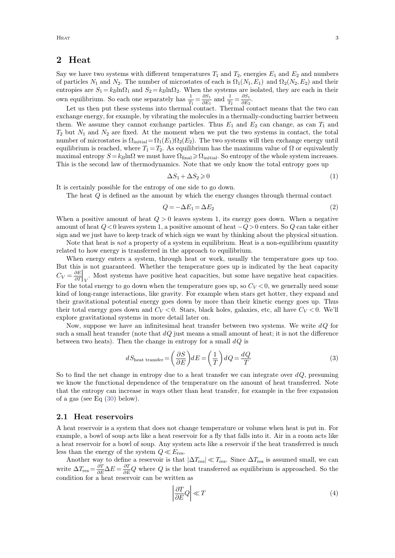### **2 Heat**

Say we have two systems with different temperatures  $T_1$  and  $T_2$ , energies  $E_1$  and  $E_2$  and numbers of particles  $N_1$  and  $N_2$ . The number of microstates of each is  $\Omega_1(N_1, E_1)$  and  $\Omega_2(N_2, E_2)$  and their entropies are  $S_1 = k_B \ln \Omega_1$  and  $S_2 = k_B \ln \Omega_2$ . When the systems are isolated, they are each in their own equilibrium. So each one separately has  $\frac{1}{T_1} = \frac{\partial S_1}{\partial E_1}$  and  $\frac{1}{T_2} = \frac{\partial S_1}{\partial E_2}$ .  $\partial E_2$ <sup>+</sup> .

Let us then put these systems into thermal contact. Thermal contact means that the two can exchange energy, for example, by vibrating the molecules in a thermally-conducting barrier between them. We assume they cannot exchange particles. Thus  $E_1$  and  $E_2$  can change, as can  $T_1$  and  $T_2$  but  $N_1$  and  $N_2$  are fixed. At the moment when we put the two systems in contact, the total number of microstates is  $\Omega$ <sub>initial</sub> =  $\Omega_1(E_1)\Omega_2(E_2)$ . The two systems will then exchange energy until equilibrium is reached, where  $T_1 = T_2$ . As equilibrium has the maximum value of  $\Omega$  or equivalently maximal entropy  $S = k_B \ln \Omega$  we must have  $\Omega_{\text{final}} \ge \Omega_{\text{initial}}$ . So entropy of the whole system increases. This is the second law of thermodynamics. Note that we only know the total entropy goes up

$$
\Delta S_1 + \Delta S_2 \geqslant 0 \tag{1}
$$

It is certainly possible for the entropy of one side to go down.

The heat *Q* is defined as the amount by which the energy changes through thermal contact

$$
Q = -\Delta E_1 = \Delta E_2 \tag{2}
$$

When a positive amount of heat  $Q > 0$  leaves system 1, its energy goes down. When a negative amount of heat  $Q < 0$  leaves system 1, a positive amount of heat  $-Q > 0$  enters. So  $Q$  can take either sign and we just have to keep track of which sign we want by thinking about the physical situation.

Note that heat is *not* a property of a system in equilibrium. Heat is a non-equilibrium quantity related to how energy is transferred in the approach to equilibrium.

When energy enters a system, through heat or work, usually the temperature goes up too. But this is not guaranteed. Whether the temperature goes up is indicated by the heat capacity  $C_V = \frac{\partial E}{\partial T}\Big|_{V}$ . Most  $\partial T|_V$  ...  $\frac{1}{\sqrt{2}}$ . Most systems have positive heat capacities, but some have negative heat capacities. For the total energy to go down when the temperature goes up, so  $C_V < 0$ , we generally need some kind of long-range interactions, like gravity. For example when stars get hotter, they expand and their gravitational potential energy goes down by more than their kinetic energy goes up. Thus their total energy goes down and  $C_V < 0$ . Stars, black holes, galaxies, etc, all have  $C_V < 0$ . We'll explore gravitational systems in more detail later on.

Now, suppose we have an infinitesimal heat transfer between two systems. We write  $dQ$  for such a small heat transfer (note that  $dQ$  just means a small amount of heat; it is not the difference between two heats). Then the change in entropy for a small *dQ* is

<span id="page-2-0"></span>
$$
dS_{\text{heat transfer}} = \left(\frac{\partial S}{\partial E}\right) dE = \left(\frac{1}{T}\right) dQ = \frac{dQ}{T}
$$
\n(3)

So to find the net change in entropy due to a heat transfer we can integrate over  $dQ$ , presuming we know the functional dependence of the temperature on the amount of heat transferred. Note that the entropy can increase in ways other than heat transfer, for example in the free expansion of a gas (see Eq [\(30\)](#page-7-0) below).

#### **2.1 Heat reservoirs**

A heat reservoir is a system that does not change temperature or volume when heat is put in. For example, a bowl of soup acts like a heat reservoir for a fly that falls into it. Air in a room acts like a heat reservoir for a bowl of soup. Any system acts like a reservoir if the heat transferred is much

less than the energy of the system  $Q \ll E_{\text{res}}$ .<br>Another way to define a reservoir is that  $|\Delta T_{\text{res}}| \ll T_{\text{res}}$ . Since  $\Delta T_{\text{res}}$  is assumed small, we can write  $\Delta T_{\rm res} = \frac{\partial T}{\partial E} \Delta E = \frac{\partial T}{\partial E} Q$  where *Q* is the heat transferred as equilibrium is approached. So the condition for a heat reservoir can be written as

$$
\left|\frac{\partial T}{\partial E}Q\right| \ll T\tag{4}
$$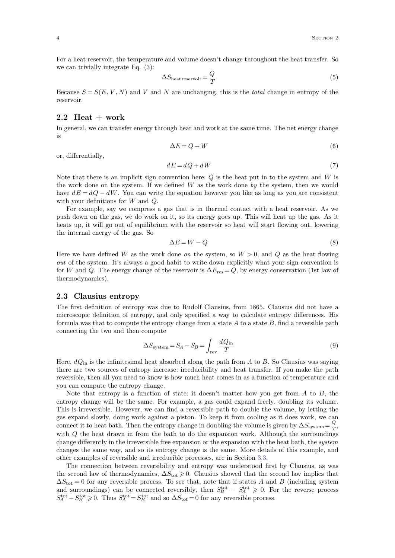For a heat reservoir, the temperature and volume doesn't change throughout the heat transfer. So we can trivially integrate Eq. [\(3\)](#page-2-0):

<span id="page-3-1"></span>
$$
\Delta S_{\text{heat reservoir}} = \frac{Q}{T} \tag{5}
$$

Because  $S = S(E, V, N)$  and *V* and *N* are unchanging, this is the *total* change in entropy of the reservoir.

#### **2.2 Heat + work**

In general, we can transfer energy through heat and work at the same time. The net energy change is

$$
\Delta E = Q + W \tag{6}
$$

or, differentially,

$$
dE = dQ + dW\tag{7}
$$

Note that there is an implicit sign convention here: *Q* is the heat put in to the system and *W* is the work done on the system. If we defined  $W$  as the work done by the system, then we would have  $dE = dQ - dW$ . You can write the equation however you like as long as you are consistent with your definitions for *W* and *Q*.

For example, say we compress a gas that is in thermal contact with a heat reservoir. As we push down on the gas, we do work on it, so its energy goes up. This will heat up the gas. As it heats up, it will go out of equilibrium with the reservoir so heat will start flowing out, lowering the internal energy of the gas. So

$$
\Delta E = W - Q \tag{8}
$$

Here we have defined *W* as the work done *on* the system, so  $W > 0$ , and *Q* as the heat flowing *out* of the system. It's always a good habit to write down explicitly what your sign convention is for *W* and *Q*. The energy change of the reservoir is  $\Delta E_{\text{res}} = Q$ , by energy conservation (1st law of thermodynamics).

#### **2.3 Clausius entropy**

The first definition of entropy was due to Rudolf Clausius, from 1865. Clausius did not have a microscopic definition of entropy, and only specified a way to calculate entropy differences. His formula was that to compute the entropy change from a state  $A$  to a state  $B$ , find a reversible path connecting the two and then compute

<span id="page-3-0"></span>
$$
\Delta S_{\text{system}} = S_A - S_B = \int_{\text{rev.}} \frac{dQ_{\text{in}}}{T} \tag{9}
$$

Here,  $dQ_{\text{in}}$  is the infinitesimal heat absorbed along the path from *A* to *B*. So Clausius was saying there are two sources of entropy increase: irreducibility and heat transfer. If you make the path reversible, then all you need to know is how much heat comes in asa function of temperature and you can compute the entropy change.

Note that entropy is a function of state: it doesn't matter how you get from  $A$  to  $B$ , the entropy change will be the same. For example, a gas could expand freely, doubling its volume. This is irreversible. However, we can find a reversible path to double the volume, by letting the gas expand slowly, doing work against a piston. To keep it from cooling as it does work, we can connect it to heat bath. Then the entropy change in doubling the volume is given by  $\Delta S_{\text{system}} = \frac{Q}{T}$ ,  $\frac{Q}{T}$ with *Q* the heat drawn in from the bath to do the expansion work. Although the surroundings change differently in the irreversible free expansion or the expansion with the heat bath, the *system* changes the same way, and so its entropy change is the same. More details of this example, and other examples of reversible and irreducible processes, are in Section [3.3.](#page-6-0)

The connection between reversibility and entropy was understood first by Clausius, as was the second law of thermodynamics,  $\Delta S_{\text{tot}} \geq 0$ . Clausius showed that the second law implies that  $\Delta S_{\text{tot}} = 0$  for any reversible process. To see that, note that if states *A* and *B* (including system and surroundings) can be connected reversibly, then  $S_B^{\text{tot}} - S_A^{\text{tot}} \geq 0$ . For the reverse process  $S_A^{\text{tot}} - S_B^{\text{tot}} \geq 0$ . Thus  $S_A^{\text{tot}} = S_B^{\text{tot}}$  and so  $\Delta S_{\text{tot}} = 0$  for any reversible process.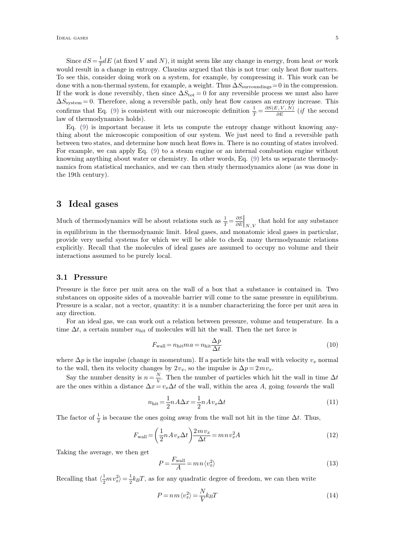Since  $dS = \frac{1}{T} dE$  (at fixed V and N), it might seem like any change in energy, from heat or work<br>would result in a change in entropy. Clausius argued that this is not true: only heat flow matters. To see this, consider doing work on a system, for example, by compressing it. This work can be done with a non-thermal system, for example, a weight. Thus  $\Delta S_{\text{surroundings}}=0$  in the compression. If the work is done reversibly, then since  $\Delta S_{\text{tot}} = 0$  for any reversible process we must also have  $\Delta S_{\text{system}} = 0$ . Therefore, along a reversible path, only heat flow causes an entropy increase. This confirms that Eq. [\(9\)](#page-3-0) is consistent with our microscopic definition  $\frac{1}{T} = \frac{\partial S(E, V, N)}{\partial E}$  (if the set of  $\frac{1}{T}$ )  $\frac{\partial E}{\partial E}$  (*if* the second law of thermodynamics holds).

Eq. [\(9\)](#page-3-0) is important because it lets us compute the entropy change without knowing any thing about the microscopic composition of our system. We just need to find a reversible path between two states, and determine how much heat flows in. There is no counting of states involved. For example, we can apply Eq.[\(9\)](#page-3-0) to a steam engine or an internal combustion engine without knowning anything about water or chemistry. In other words, Eq. [\(9\)](#page-3-0) lets us separate thermody namics from statistical mechanics, and we can then study thermodynamics alone (as was done in the 19th century).

### **3 Ideal gases**

Much of thermodynamics will be about relations such as  $\frac{1}{T} = \frac{\partial S}{\partial E}\Big|_{N,V}$  that  $\partial E|_{N,V}$  and  $\begin{array}{ccc} \end{array}$  $N, V$  that hold for any substance in equilibrium in the thermodynamic limit. Ideal gases, and monatomic ideal gases in particular. provide very useful systems for which we will be able to check many thermodynamic relations explicitly. Recall that the molecules of ideal gases are assumed to occupy no volume and their interactions assumed to be purely local.

#### **3.1 Pressure**

Pressure is the force per unit area on the wall of a box that a substance is contained in. Two substances on opposite sides of a moveable barrier will come to the same pressure in equilibrium. Pressure is a scalar, not a vector, quantity: it is a number characterizing the force per unit area in any direction.

For an ideal gas, we can work out a relation between pressure, volume and temperature. In a time  $\Delta t$ , a certain number  $n_{\text{hit}}$  of molecules will hit the wall. Then the net force is

$$
F_{\text{wall}} = n_{\text{hit}} m a = n_{\text{hit}} \frac{\Delta p}{\Delta t}
$$
\n(10)

where  $\Delta p$  is the impulse (change in momentum). If a particle hits the wall with velocity  $v_x$  normal to the wall, then its velocity changes by  $2v_x$ , so the impulse is  $\Delta p = 2mv_x$ .

Say the number density is  $n = \frac{N}{V}$ . Then the  $\frac{N}{V}$ . Then the number of particles which hit the wall in time  $\Delta t$ are the ones within a distance  $\Delta x = v_x \Delta t$  of the wall, within the area *A*, going *towards* the wall

$$
n_{\text{hit}} = \frac{1}{2} n A \Delta x = \frac{1}{2} n A v_x \Delta t \tag{11}
$$

The factor of  $\frac{1}{2}$  is because the ones going away from the wall not hit in the time  $\Delta t$ . Thus,

$$
F_{\text{wall}} = \left(\frac{1}{2}nAv_x\Delta t\right)\frac{2mv_x}{\Delta t} = mn v_x^2 A\tag{12}
$$

Taking the average, we then get

$$
P = \frac{F_{\text{wall}}}{A} = m n \langle v_x^2 \rangle \tag{13}
$$

Recalling that  $\langle \frac{1}{2}mv_x^2 \rangle = \frac{1}{2}k_BT$ , as for any quadratic degree of freedom, we can then write

$$
P = n m \langle v_x^2 \rangle = \frac{N}{V} k_B T \tag{14}
$$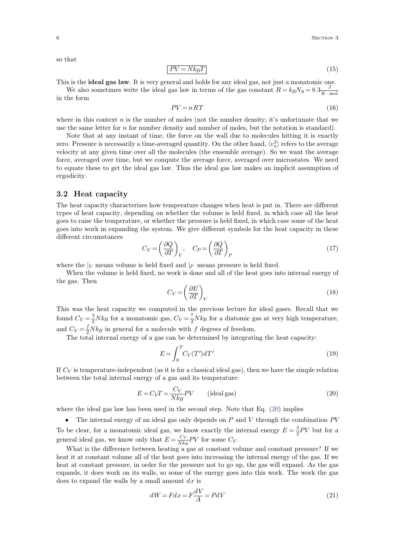so that

$$
PV = Nk_BT \tag{15}
$$

This is the **ideal gas law**. It is very general and holds for any ideal gas, not just a monatomic one.

We also sometimes write the ideal gas law in terms of the gas constant  $R = k_B N_A = 8.3 \frac{J}{K \cdot \text{mol}}$  $K \cdot \text{mol}$ in the form

$$
PV = nRT \tag{16}
$$

where in this context *n* is the number of moles (not the number density; it's unfortunate that we use the same letter for  $n$  for number density and number of moles, but the notation is standard).

Note that at any instant of time, the force on the wall due to molecules hitting it is exactly zero. Pressure is necessarily a time-averaged quantity. On the other hand,  $\langle v_x^2 \rangle$  refers velocity at any given time over all the molecules (the ensemble average). So we want the average force, averaged over time, but we compute the average force, averaged over microstates. We need to equate these to get the ideal gas law. Thus the ideal gas law makes an implicit assumption of ergodicity.

#### **3.2 Heat capacity**

The heat capacity characterizes how temperature changes when heat is put in. There are different types of heat capacity, depending on whether the volume is held fixed, in which case all the heat goes to raise the temperature, or whether the pressure is held fixed, in which case some of the heat goes into work in expanding the system. We give different symbols for the heat capacity in these different circumstances

$$
C_V = \left(\frac{\partial Q}{\partial T}\right)_V, \quad C_P = \left(\frac{\partial Q}{\partial T}\right)_P
$$
\n(17)

where the  $|V|$  means volume is held fixed and  $|P|$  means pressure is held fixed.<br>When the volume is held fixed, no work is done and all of the heat goes into internal energy of the gas. Then

$$
C_V = \left(\frac{\partial E}{\partial T}\right)_V\tag{18}
$$

This was the heat capacity we computed in the previous lecture for ideal gases. Recall that we found  $C_V = \frac{3}{2} N k_B$  for a monatomic gas,  $C_V = \frac{7}{2} N k_B$  for a diatomic gas at very high temperature, and  $C_V = \frac{f}{2} N k_B$  in gen

The total internal energy of a gas can be determined by integrating the heat capacity:

<span id="page-5-0"></span>
$$
E = \int_0^T C_V(T')dT'
$$
\n(19)

If *C<sup>V</sup>* is temperature-independent (as it is for a classical ideal gas), then we have the simple relation between the total internal energy of a gas and its temperature:

$$
E = C_V T = \frac{C_V}{N k_B} PV \qquad \text{(ideal gas)}\tag{20}
$$

where the ideal gas law has been used in the second step. Note that Eq. [\(20\)](#page-5-0) implies

 The internal energy of an ideal gas only depends on *P* and *V* through the combination *PV* To be clear, for a monatomic ideal gas, we know exactly the internal energy  $E = \frac{3}{2}PV$  but for a general ideal gas, we know only that  $E = \frac{C_V}{N k_B} PV$  for some  $C_V$ .<br>What is the difference between heating a gas at constant volume and constant pressure? If we

heat it at constant volume all of the heat goes into increasing the internal energy of the gas. If we heat at constant pressure, in order for the pressure not to go up, the gas will expand. As the gas expands, it does work on its walls, so some of the energy goes into this work. The work the gas does to expand the walls by a small amount *dx* is

<span id="page-5-1"></span>
$$
dW = Fdx = F\frac{dV}{A} = PdV\tag{21}
$$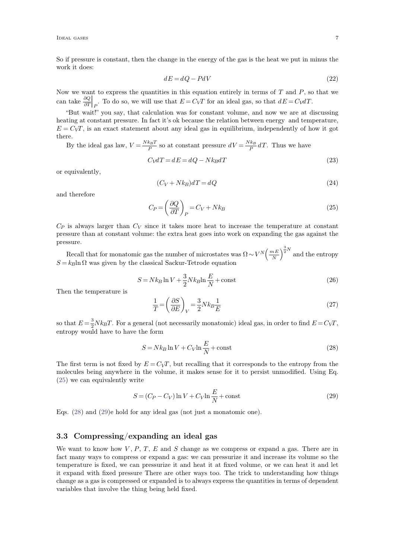So if pressure is constant, then the change in the energy of the gas is the heat we put in minus the work it does:

$$
dE = dQ - PdV \tag{22}
$$

Now we want to express the quantities in this equation entirely in terms of *T* and *P*, so that we can take  $\frac{\partial Q}{\partial T}$ . To do  $\partial T\vert p$ <sup>---</sup>  $\Box$  $P$ . To do so, we will use that  $E = C_V T$  for an ideal gas, so that  $dE = C_V dT$ .

"But wait!" you say, that calculation was for constant volume, and now we are at discussing heating at constant pressure. In fact it's ok because the relation between energy and temperature,  $E = C_V T$ , is an exact statement about any ideal gas in equilibrium, independently of how it got there.

By the ideal gas law,  $V = \frac{Nk_BT}{P}$  so at c  $\frac{k_B T}{P}$  so at constant pressure  $dV = \frac{N k_B}{P} dT$ . Thus we have

$$
C_V dT = dE = dQ - Nk_B dT \tag{23}
$$

or equivalently,

<span id="page-6-1"></span>
$$
(C_V + Nk_B)dT = dQ \t\t(24)
$$

and therefore

$$
C_P = \left(\frac{\partial Q}{\partial T}\right)_P = C_V + Nk_B\tag{25}
$$

 $C_P$  is always larger than  $C_V$  since it takes more heat to increase the temperature at constant pressure than atconstant volume: the extra heat goes into work on expanding the gas against the pressure.

Recall that for monatomic gas the number of microstates was  $\Omega \sim V^N \left(\frac{mE}{N}\right)^{\frac{N}{2}N}$  and t *N J*  $\frac{1}{2}$  $\int_0^{\frac{3}{2}N}$  and the entropy  $S = k_B \ln \Omega$  was given by the classical Sackur-Tetrode equation

$$
S = Nk_B \ln V + \frac{3}{2} Nk_B \ln \frac{E}{N} + \text{const}
$$
\n(26)

Then the temperature is

$$
\frac{1}{T} = \left(\frac{\partial S}{\partial E}\right)_V = \frac{3}{2} N k_B \frac{1}{E}
$$
\n(27)

so that  $E = \frac{3}{2}Nk_BT$ . For a general (not necessarily monatomic) ideal gas, in order to find  $E = C_VT$ , entropy would have to have the form

<span id="page-6-2"></span>
$$
S = Nk_B \ln V + C_V \ln \frac{E}{N} + \text{const}
$$
\n(28)

The first term is not fixed by  $E = C_VT$ , but recalling that it corresponds to the entropy from the molecules being anywhere in the volume, it makes sense for it to persist unmodified. Using Eq. [\(25\)](#page-6-1) we can equivalently write

<span id="page-6-3"></span><span id="page-6-0"></span>
$$
S = (C_P - C_V) \ln V + C_V \ln \frac{E}{N} + \text{const}
$$
\n(29)

Eqs. [\(28\)](#page-6-2) and [\(29\)](#page-6-3)e hold for any ideal gas (not just a monatomic one).

### **3.3 Compressing/expanding an ideal gas**

We want to know how *V; P*, *T*, *E* and *S* change as we compress or expand a gas. There are in fact many ways to compress or expand a gas: we can pressurize it and increase its volume so the temperature is fixed, we can pressurize it and heat it at fixed volume, or we can heat it and let it expand with fixed pressure There are other ways too. The trick to understanding how things change as a gas is compressed orexpanded is to always express the quantities in terms of dependent variables that involve the thing being held fixed.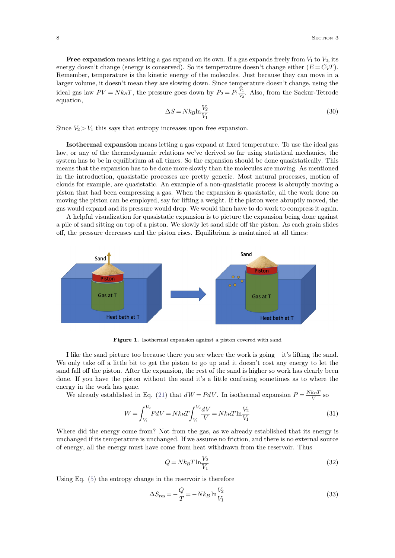**Free expansion** means letting a gas expand on its own. If a gas expands freely from  $V_1$  to  $V_2$ , its energy doesn't change (energy is conserved). So its temperature doesn't change either  $(E = C_V T)$ . Remember, temperature is the kinetic energy of the molecules. Just because they can move in a larger volume, it doesn't mean they are slowing down. Since temperature doesn't change, using the ideal gas law  $PV = Nk_BT$ , the pressure goes down by  $P_2 = P_1 \frac{V_1}{V_2}$ . Also, i.  $\frac{V_1}{V_2}$ . Also, from the Sackur-Tetrode equation,

<span id="page-7-0"></span>
$$
\Delta S = N k_B \ln \frac{V_2}{V_1} \tag{30}
$$

Since  $V_2 > V_1$  this says that entropy increases upon free expansion.

**Isothermal expansion** means letting a gas expand at fixed temperature. To use the ideal gas law, or any of the thermodynamic relations we've derived so far using statistical mechanics, the system has to be in equilibrium at all times. So the expansion should be done quasistatically. This means that the expansion has to be done more slowly than the molecules are moving. As mentioned in the introduction, quasistatic processes are pretty generic. Most natural processes, motion of clouds for example, are quasistatic. An example of a non-quasistatic process is abruptly moving a piston that had been compressing a gas. When the expansion is quasistatic, all the work done on moving the piston can be employed, say for lifting a weight. If the piston were abruptly moved, the gas would expand and its pressure would drop. We would then have to do work to compress it again.

A helpful visualization for quasistatic expansion is to picture the expansion being done against a pile of sand sitting on top of a piston. We slowly let sand slide off the piston. As each grain slides off, the pressure decreases and the piston rises. Equilibrium is maintained at all times:



**Figure 1.** Isothermal expansion against a piston covered with sand

I like the sand picture too because there you see where the work is going  $-$  it's lifting the sand. We only take off a little bit to get the piston to go up and it doesn't cost any energy to let the sand fall off the piston. After the expansion, the rest of the sand is higher so work has clearly been done. If you have the piston without the sand it's a little confusing sometimes as to where the energy in the work has gone.

We already established in Eq. [\(21\)](#page-5-1) that  $dW = PdV$ . In isothermal expansion  $P = \frac{Nk_BT}{V}$  so  $\frac{k_{B}I}{V}$  so

$$
W = \int_{V_1}^{V_2} P dV = N k_B T \int_{V_1}^{V_2} \frac{dV}{V} = N k_B T \ln \frac{V_2}{V_1}
$$
\n(31)

Where did the energy come from? Not from the gas, as we already established that its energy is unchanged if its temperature is unchanged. If we assume no friction, and there is no external source of energy, all the energy must have come from heat withdrawn from the reservoir. Thus

$$
Q = Nk_B T \ln \frac{V_2}{V_1} \tag{32}
$$

Using Eq. [\(5\)](#page-3-1) the entropy change in the reservoir is therefore

$$
\Delta S_{\rm res} = -\frac{Q}{T} = -Nk_B \ln \frac{V_2}{V_1}
$$
\n(33)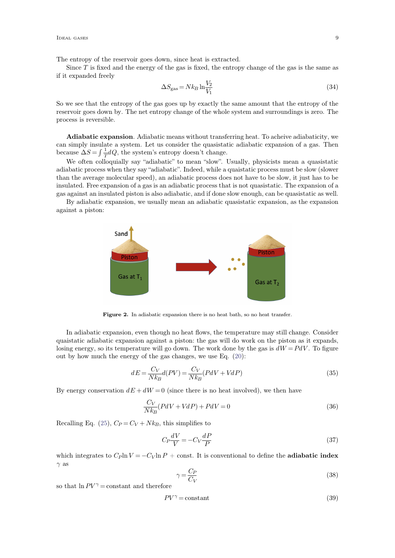The entropy of the reservoir goes down, since heat is extracted.

Since  $T$  is fixed and the energy of the gas is fixed, the entropy change of the gas is the same as if it expanded freely

$$
\Delta S_{\rm gas} = N k_B \ln \frac{V_2}{V_1} \tag{34}
$$

So we see that the entropy of the gas goes up by exactly the same amount that the entropy of the reservoir goes down by. The net entropy change of the whole system and surroundings is zero. The process is reversible.

**Adiabatic expansion**. Adiabatic means without transferring heat. To acheive adiabaticity, we can simply insulate a system. Let us consider the quasistatic adiabatic expansion of a gas. Then because  $\Delta S = \int \frac{1}{T} dQ$ , the s

We often colloquially say "adiabatic" to mean "slow". Usually, physicists mean a quasistatic adiabatic process when they say "adiabatic". Indeed, while a quaistatic process must be slow (slower than the average molecular speed), an adiabatic process does not have to be slow, it just has to be insulated. Free expansion of a gas is an adiabatic process that is not quasistatic. The expansion of a gas against an insulated piston is also adiabatic, and if done slow enough, can be quasistatic as well.

By adiabatic expansion, we usually mean an adiabatic quasistatic expansion, as the expansion against a piston:



Figure 2. In adiabatic expansion there is no heat bath, so no heat transfer.

In adiabatic expansion, even though no heat flows, the temperature may still change. Consider quaistatic adiabatic expansion against a piston: the gas will do work on the piston as it expands, losing energy, so its temperature will go down. The work done by the gas is  $dW = PdV$ . To figure out by how much the energy of the gas changes, we use Eq. [\(20\)](#page-5-0):

$$
dE = \frac{C_V}{Nk_B}d(PV) = \frac{C_V}{Nk_B}(PdV + VdP)
$$
\n(35)

By energy conservation  $dE + dW = 0$  (since there is no heat involved), we then have

$$
\frac{C_V}{Nk_B}(PdV + VdP) + PdV = 0\tag{36}
$$

Recalling Eq. [\(25\)](#page-6-1),  $C_P = C_V + Nk_B$ , this simplifies to

$$
C_P \frac{dV}{V} = -C_V \frac{dP}{P}
$$
\n<sup>(37)</sup>

which integrates to  $C_P \ln V = -C_V \ln P + \text{const.}$  It is conventional to define the **adiabatic index**  $\gamma$  as

$$
\gamma = \frac{C_P}{C_V} \tag{38}
$$

so that  $\ln PV^{\gamma} = \text{constant}$  and therefore

$$
PV^{\gamma} = \text{constant} \tag{39}
$$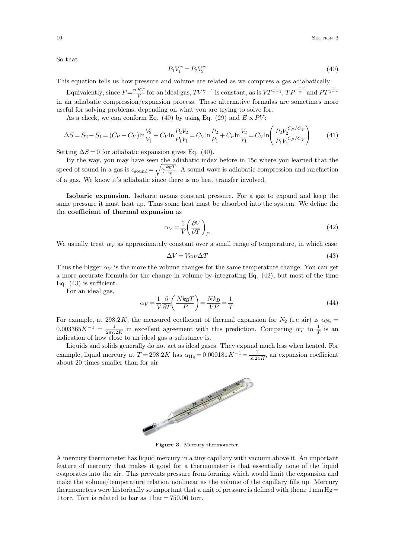So that

<span id="page-9-0"></span>
$$
P_1 V_1^{\gamma} = P_2 V_2^{\gamma} \tag{40}
$$

This equation tells us how pressure and volume are related aswe compress a gas adiabatically.

Equivalently, since  $P = \frac{nRT}{V}$  for an id  $\frac{RT}{V}$  for an ideal gas,  $TV^{\gamma-1}$  is constant, as is  $VT^{\frac{1}{\gamma-1}}$ ,  $TP^{\frac{1-\gamma}{\gamma}}$  and  $PT^{\frac{\gamma}{1-\gamma}}$ in an adiabatic compression/expansion process. These alternative formulas are sometimes more useful for solving problems, depending on what you are trying to solve for.

As a check, we can conform Eq. [\(40\)](#page-9-0) by using Eq. [\(29\)](#page-6-3) and  $E \propto PV$ :

$$
\Delta S = S_2 - S_1 = (C_P - C_V)\ln\frac{V_2}{V_1} + C_V\ln\frac{P_2V_2}{P_1V_1} = C_V\ln\frac{P_2}{P_1} + C_P\ln\frac{V_2}{V_1} = C_V\ln\left(\frac{P_2V_2^{C_P/C_V}}{P_1V_1^{C_P/C_V}}\right)
$$
(41)

Setting  $\Delta S = 0$  for adiabatic expansion gives Eq. [\(40\)](#page-9-0).

By the way, you may have seen the adiabatic index before in 15c where you learned that the speed of sound in a gas is  $c_{\text{sound}} = \sqrt{\gamma \frac{k_B T}{m}}$ . A sound wave is adiabatic compression and rarefaction of a gas. We know it's adiabatic since there is no heat transfer involved.

**Isobaric expansion**. Isobaric means constant pressure. For a gas to expand and keep the same pressure it must heat up. Thus some heat must be absorbed into the system. We define the the **coecient of thermal expansion** as

<span id="page-9-1"></span>
$$
\alpha_V = \frac{1}{V} \left( \frac{\partial V}{\partial T} \right)_P \tag{42}
$$

We usually treat  $\alpha_V$  as approximately constant over a small range of temperature, in which case

<span id="page-9-2"></span>
$$
\Delta V = V \alpha_V \Delta T \tag{43}
$$

Thus the bigger  $\alpha_V$  is the more the volume changes for the same temperature change. You can get a more accurate formula for the change in volume by integrating Eq. [\(42\)](#page-9-1), but most of the time Eq.  $(43)$  is sufficient.

For an ideal gas,

$$
\alpha_V = \frac{1}{V} \frac{\partial}{\partial T} \left( \frac{N k_B T}{P} \right) = \frac{N k_B}{VP} = \frac{1}{T}
$$
\n(44)

For example, at 298.2K, the measured coefficient of thermal expansion for  $N_2$  (i.e air) is  $\alpha_{N_2} =$  $0.003365K^{-1} = \frac{1}{297.2K}$  in ex  $\frac{1}{297.2K}$  in excellent agreement with this prediction. Comparing  $\alpha_V$  to  $\frac{1}{T}$  is an  $\frac{1}{T}$  is an indication of how close to an ideal gas a substance is.

Liquids and solids generally do not act as ideal gases. They expand much less when heated. For example, liquid mercury at  $T = 298.2K$  has  $\alpha_{\text{Hg}} = 0.000181K^{-1} = \frac{1}{5524K}$ , an ex  $\frac{1}{5524 K}$ , an expansion coefficient about 20 times smaller than for air.



**Figure 3.** Mercury thermometer.

A mercury thermometer has liquid mercury in a tiny capillary with vacuum above it.An important feature of mercury that makes it good for a thermometer is that essentially none of the liquid evaporates into the air. This prevents pressure from forming which would limit the expansion and make the volume/temperature relation nonlinear as the volume of the capillary fills up. Mercury thermometers were historically so important that a unit of pressure is defined with them:  $1 \text{ mm Hg} =$ 1 torr. Torr is related to bar as  $1 \text{ bar} = 750.06 \text{ torr}$ .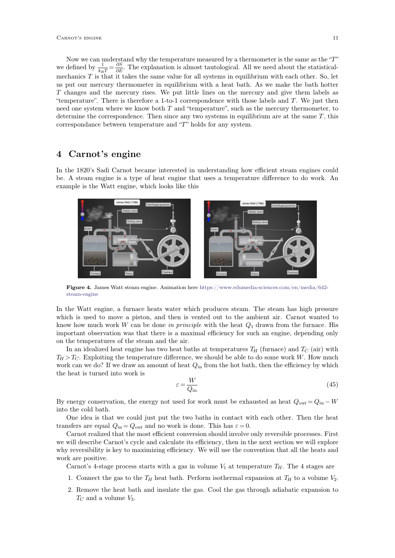Now we can understand why the temperature measured by a thermometer is the same as the *T* we defined by  $\frac{1}{k_B T} = \frac{\partial S}{\partial E}$ . The exp.  $\frac{\partial S}{\partial E}$ . The explanation is almost tautological. All we need about the statisticalmechanics  $T$  is that it takes the same value for all systems in equilibrium with each other. So, let us put our mercury thermometer in equilibrium with a heat bath. As we make the bath hotter *T* changes and the mercury rises. We put little lines on the mercury and give them labels as temperature. There is therefore a 1-to-1 correspondence with those labels and *T*. We just then need one system where we know both  $T$  and "temperature", such as the mercury thermometer, to determine the correspondence. Then since any two systems in equilibrium are at the same *T* , this correspondance between temperature and "T" holds for any system.

### **4 Carnot's engine**

In the 1820's Sadi Carnot became interested in understanding how efficient steam engines could be. A steam engine is a type of heat engine that uses a temperature difference to do work. An example is the Watt engine, which looks like this



**Figure 4.** James Watt steam engine. Animation here https://www.edumedia-sciences.com/en/media/642 steam-engine

In the Watt engine, a furnace heats water which produces steam. The steam has high pressure which is used to move a piston, and then is vented out to the ambient air. Carnot wanted to know how much work *W* can be done *in principle* with the heat *Q*<sup>1</sup> drawn from the furnace. His important observation was that there is a maximal efficiency for such an engine, depending only on the temperatures of the steam and the air.

In an idealized heat engine has two heat baths at temperatures  $T_H$  (furnace) and  $T_C$  (air) with  $T_H > T_C$ . Exploiting the temperature difference, we should be able to do some work *W*. How much work can we do? If we draw an amount of heat  $Q_{\text{in}}$  from the hot bath, then the efficiency by which the heat is turned into work is

$$
\varepsilon = \frac{W}{Q_{\text{in}}} \tag{45}
$$

By energy conservation, the energy not used for work must be exhausted as heat  $Q_{\text{out}} = Q_{\text{in}} - W$ into the cold bath.

One idea is that we could just put the two baths in contact with each other. Then the heat transfers are equal  $Q_{\text{in}} = Q_{\text{out}}$  and no work is done. This has  $\varepsilon = 0$ .

Carnot realized that the most efficient conversion should involve only reversible processes. First we will describe Carnot's cycle and calculate its efficiency, then in the next section we will explore why reversibility is key to maximizing efficiency. We will use the convention that all the heats and work are positive.

Carnot's 4-stage process starts with a gas in volume  $V_1$  at temperature  $T_H$ . The 4 stages are

- 1. Connect the gas to the  $T_H$  heat bath. Perform isothermal expansion at  $T_H$  to a volume  $V_2$ .
- 2. Remove the heat bath and insulate the gas. Cool the gas through adiabatic expansion to *T<sup>C</sup>* and a volume *V*3.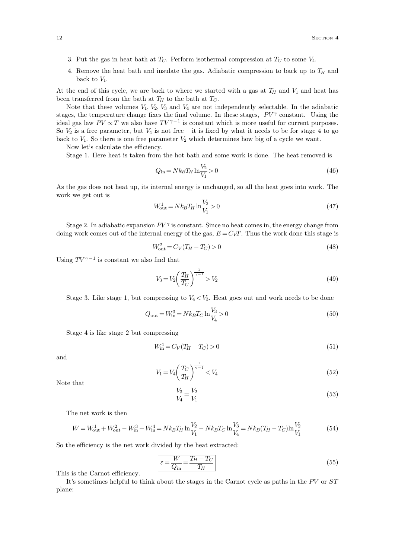- 3. Put the gas in heat bath at*TC*. Perform isothermal compression at*T<sup>C</sup>* to some *V*4.
- 4. Remove the heat bath and insulate the gas. Adiabatic compression to back up to *T<sup>H</sup>* and back to *V*1.

At the end of this cycle, we are back to where we started with a gas at  $T_H$  and  $V_1$  and heat has been transferred from the bath at  $T_H$  to the bath at  $T_C$ .

Note that these volumes  $V_1$ ,  $V_2$ ,  $V_3$  and  $V_4$  are not independently selectable. In the adiabatic stages, the temperature change fixes the final volume. In these stages,  $PV^{\gamma}$  constant. Using the ideal gas law  $PV \propto T$  we also have  $TV^{\gamma-1}$  is constant which is more useful for current purposes. So  $V_2$  is a free parameter, but  $V_4$  is not free – it is fixed by what it needs to be for stage 4 to go back to  $V_1$ . So there is one free parameter  $V_2$  which determines how big of a cycle we want.

Now let's calculate the efficiency.

Stage 1. Here heat is taken from the hot bath and some work is done. The heat removed is

$$
Q_{\rm in} = Nk_B T_H \ln \frac{V_2}{V_1} > 0
$$
\n(46)

As the gas does not heat up, its internal energy isunchanged, so all the heat goes into work. The work we get out is

$$
W_{\text{out}}^1 = Nk_B T_H \ln \frac{V_2}{V_1} > 0 \tag{47}
$$

Stage 2. In adiabatic expansion *PV*  is constant. Since no heat comes in, the energy change from doing work comes out of the internal energy of the gas,  $E = C_VT$ . Thus the work done this stage is

$$
W_{\text{out}}^2 = C_V (T_H - T_C) > 0 \tag{48}
$$

Using  $TV^{\gamma-1}$  is constant we also find that

$$
V_3 = V_2 \left(\frac{T_H}{T_C}\right)^{\frac{1}{\gamma - 1}} > V_2 \tag{49}
$$

Stage 3. Like stage 1, but compressing to  $V_4 < V_3$ . Heat goes out and work needs to be done

$$
Q_{\text{out}} = W_{\text{in}}^3 = Nk_B T_C \ln \frac{V_3}{V_4} > 0
$$
\n(50)

Stage 4 is like stage 2 but compressing

$$
W_{\rm in}^4 = C_V (T_H - T_C) > 0 \tag{51}
$$

and

$$
V_1 = V_4 \left(\frac{T_C}{T_H}\right)^{\frac{1}{\gamma - 1}} < V_4 \tag{52}
$$

Note that

$$
\frac{V_3}{V_4} = \frac{V_2}{V_1}
$$
\n(53)

The net work is then

$$
W = W_{\text{out}}^1 + W_{\text{out}}^2 - W_{\text{in}}^3 - W_{\text{in}}^4 = Nk_B T_H \ln \frac{V_2}{V_1} - Nk_B T_C \ln \frac{V_3}{V_4} = Nk_B (T_H - T_C) \ln \frac{V_2}{V_1}
$$
(54)

So the efficiency is the net work divided by the heat extracted:

$$
\varepsilon = \frac{W}{Q_{\text{in}}} = \frac{T_H - T_C}{T_H} \tag{55}
$$

This is the Carnot efficiency.

It's sometimes helpful to think about the stages in the Carnot cycle as paths in the *PV* or *ST* plane: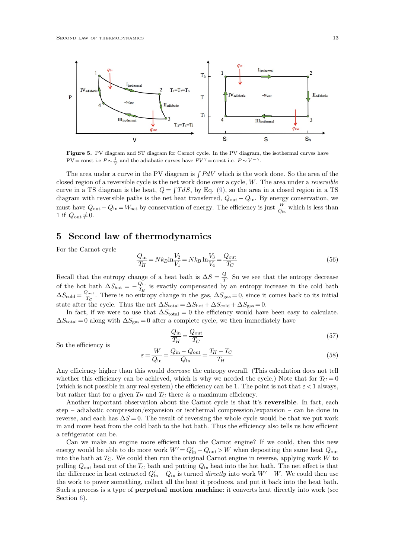

**Figure 5.** PV diagram and ST diagram for Carnot cycle. In the PV diagram, the isothermal curves have  $PV = \text{const i.e } P \sim \frac{1}{V}$  and the adiabatic curves have  $PV^{\gamma} = \text{const i.e. } P \sim V^{-\gamma}$ .

The area under a curve in the PV diagram is  $\int P dV$  which is the work done. So the area of the closed region of a reversible cycle is the net work done over a cycle, *W*. The area under a *reversible* curve in a TS diagram is the heat,  $Q = \int T dS$ , by Eq. [\(9\)](#page-3-0), so the area in a closed region in a TS diagram with reversible paths is the net heat transferred,  $Q_{\text{out}} - Q_{\text{in}}$ . By energy conservation, we must have  $Q_{\text{out}} - Q_{\text{in}} = W_{\text{net}}$  by conservation of energy. The efficiency is just  $\frac{W}{Q_{\text{in}}}$  which is less than 1 if  $Q_{\text{out}} \neq 0$ .

## **5 Second law of thermodynamics**

For the Carnot cycle

$$
\frac{Q_{\text{in}}}{T_H} = Nk_B \ln \frac{V_2}{V_1} = Nk_B \ln \frac{V_3}{V_4} = \frac{Q_{\text{out}}}{T_C}
$$
\n(56)

Recall that the entropy change of a heat bath is  $\Delta S = \frac{Q}{T}$ . So we se  $\frac{Q}{T}$ . So we see that the entropy decrease of the hot bath  $\Delta S_{\text{hot}} = -\frac{Q_{\text{in}}}{T_H}$  is exactly  $\frac{Q_{\text{in}}}{T_H}$  is exactly compensated by an entropy increase in the cold bath  $\Delta S_{\text{cold}} = \frac{Q_{\text{out}}}{T_{\text{C}}}$ . There  $\frac{J_{\text{out}}}{T_C}$ . There is no entropy change in the gas,  $\Delta S_{\text{gas}} = 0$ , since it comes back to its initial state after the cycle. Thus the net  $\Delta S_{\text{total}} = \Delta S_{\text{hot}} + \Delta S_{\text{cold}} + \Delta S_{\text{gas}} = 0.$ 

In fact, if we were to use that  $\Delta S_{total} = 0$  the efficiency would have been easy to calculate.  $\Delta S_{\text{total}} = 0$  along with  $\Delta S_{\text{gas}} = 0$  after a complete cycle, we then immediately have

$$
\frac{Q_{\rm in}}{T_H} = \frac{Q_{\rm out}}{T_C} \tag{57}
$$

So the efficiency is

$$
\varepsilon = \frac{W}{Q_{\text{in}}} = \frac{Q_{\text{in}} - Q_{\text{out}}}{Q_{\text{in}}} = \frac{T_H - T_C}{T_H} \tag{58}
$$

Any efficiency higher than this would *decrease* the entropy overall. (This calculation does not tell whether this efficiency can be achieved, which is why we needed the cycle.) Note that for  $T_C = 0$ (which is not possible in any real system) the efficiency can be 1. The point is not that  $\varepsilon < 1$  always, but rather that for a given  $T_H$  and  $T_C$  there *is* a maximum efficiency.

Another important observation about the Carnot cycle is that it's **reversible**. In fact, each step  $-$  adiabatic compression/expansion or isothermal compression/expansion  $-$  can be done in reverse, and each has  $\Delta S = 0$ . The result of reversing the whole cycle would be that we put work in and move heat from the cold bath to the hot bath. Thus the efficiency also tells us how efficient a refrigerator can be.

Can we make an engine more efficient than the Carnot engine? If we could, then this new energy would be able to do more work  $W' = Q'_{in} - Q_{out} > W$  when depositing the same heat  $Q_{out}$ into the bath at*TC*. We could then run the original Carnot engine in reverse, applying work *W* to pulling  $Q_{\text{out}}$  heat out of the  $T_C$  bath and putting  $Q_{\text{in}}$  heat into the hot bath. The net effect is that the difference in heat extracted  $Q'_{\text{in}} - Q_{\text{in}}$  is turned *directly* into work  $W' - W$ . We could then use the work to power something, collect all the heat it produces, and put it back into the heat bath. Such a process is a type of **perpetual motion machine**: it converts heat directly into work (see Section  $6$ ).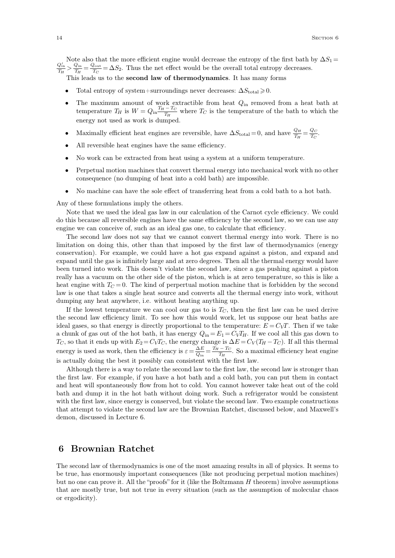Note also that the more efficient engine would decrease the entropy of the first bath by  $\Delta S_1 = \frac{Q'_{\text{in}}}{T_H} > \frac{Q_{\text{in}}}{T_H} = \frac{Q_{\text{out}}}{T_C} = \Delta S_2$ . Thus the net effect would be the overall total entropy decreases. This leads us to the **second law of thermodynamics**. It has many forms

- Total entropy of system+surroundings never decreases:  $\Delta S_{total} \geq 0$ .
- The maximum amount of work extractible from heat  $Q_{\text{in}}$  removed from a heat bath at temperature  $T_H$  is  $W = Q_{\text{in}} \frac{T_H - T_C}{T_H}$  where  $T_C$  is the temperature of the bath to which the energy not used as work is dumped.
- Maximally efficient heat engines are reversible, have  $\Delta S_{\text{total}} = 0$ , and have  $\frac{Q_H}{T_H} = \frac{Q_C}{T_C}$ .  $\frac{QC}{T_C}$ .
- All reversible heat engines have the same efficiency.
- No work can be extracted from heat using a system at a uniform temperature.
- Perpetual motion machines that convert thermal energy into mechanical work with no other consequence (no dumping of heat into <sup>a</sup> cold bath) are impossible.
- No machine can have the sole effect of transferring heat from a cold bath to a hot bath.

Any of these formulations imply the others.

Note that we used the ideal gas law in our calculation of the Carnot cycle efficiency. We could do this because all reversible engines have the same efficiency by the second law, so we can use any engine we can conceive of, such as an ideal gas one, to calculate that efficiency.

The second law does not say that we cannot convert thermal energy into work. There is no limitation on doing this, other than that imposed by the first law of thermodynamics (energy conservation). For example, we could have a hot gas expand against a piston, and expand and expand until the gas is infinitely large and at zero degrees. Then all the thermal energy would have been turned into work. This doesn't violate the second law, since a gas pushing against a piston really has a vacuum on the other side of the piston, which is at zero temperature, so this is like a heat engine with  $T_C = 0$ . The kind of perpertual motion machine that is forbidden by the second law is one that takes a single heat source and converts all the thermal energy into work, without dumping any heat anywhere, i.e. without heating anything up.

If the lowest temperature we can cool our gas to is  $T_C$ , then the first law can be used derive the second law efficiency limit. To see how this would work, let us suppose our heat baths are ideal gases, so that energy is directly proportional to the temperature:  $E = C<sub>V</sub>T$ . Then if we take a chunk of gas out of the hot bath, it has energy  $Q_{\text{in}} = E_1 = C_V T_H$ . If we cool all this gas down to *T*<sub>*C*</sub>, so that it ends up with  $E_2 = C_V T_C$ , the energy change is  $\Delta E = C_V (T_H - T_C)$ . If all this thermal energy is used as work, then the efficiency is  $\varepsilon = \frac{\Delta E}{Q_{\text{in}}} = \frac{T_H - T_C}{T_H}$ . So a maximal efficiency heat engine is actually doing the best it possibly can consistent with the first law.

Although there is a way to relate the second law to the first law, the second law is stronger than the first law. For example, if you have a hot bath and a cold bath, you can put them in contact and heat will spontaneously flow from hot to cold. You cannot however take heat out of the cold bath and dump it in the hot bath without doing work. Such a refrigerator would be consistent with the first law, since energy is conserved, but violate the second law. Two example constructions that attempt to violate the second law are the Brownian Ratchet, discussed below, and Maxwell's demon, discussed in Lecture 6.

# **6 Brownian Ratchet**

<span id="page-13-0"></span>The second law of thermodynamics is one of the most amazing results in all of physics. It seems to be true, has enormously important consequences (like not producing perpetual motion machines) but no one can prove it. All the "proofs" for it (like the Boltzmann *H* theorem) involve assumptions that are mostly true, but not true in every situation (such as the assumption of molecular chaos or ergodicity).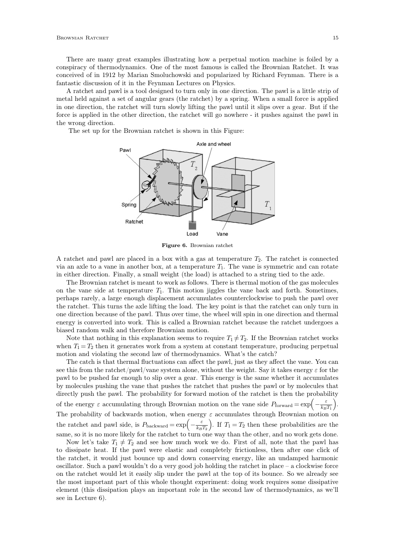There are many great examples illustrating how a perpetual motion machine is foiled by a conspiracy of thermodynamics. One of the most famous is called the Brownian Ratchet. It was conceived of in 1912 by Marian Smoluchowski and popularized by Richard Feynman. There is a fantastic discussion of it in the Feynman Lectures on Physics.

A ratchet and pawl is a tool designed to turn only in one direction. The pawl is a little strip of metal held against a set of angular gears (the ratchet) by a spring. When a small force is applied in one direction, the ratchet will turn slowly lifting the pawl until it slips over a gear. But if the force is applied in the other direction, the ratchet will go nowhere - it pushes against the pawl in the wrong direction.

The set up for the Brownian ratchet is shown in this Figure:



**Figure 6.** Brownian ratchet

A ratchet and pawl are placed in a box with a gas at temperature *T*2. The ratchet is connected via an axle to a vane in another box, at a temperature *T*1. The vane is symmetric and can rotate in either direction. Finally, a small weight (the load) is attached to a string tied to the axle.

The Brownian ratchet is meant to work as follows. There is thermal motion of the gas molecules on the vane side at temperature *T*1. This motion jiggles the vane back and forth. Sometimes, perhaps rarely, a large enough displacement accumulates counterclockwise to push the pawl over the ratchet. This turns the axle lifting the load. The key point is that the ratchet can only turn in one direction because of the pawl. Thus over time, the wheel will spin in one direction and thermal energy is converted into work. This is called a Brownian ratchet because the ratchet undergoes a biased random walk and therefore Brownian motion.

Note that nothing in this explanation seems to require  $T_1 \neq T_2$ . If the Brownian ratchet works when  $T_1 = T_2$  then it generates work from a system at constant temperature, producing perpetual motion and violating the second law of thermodynamics. What's the catch?

The catch is that thermal fluctuations can affect the pawl, just as they affect the vane. You can see this from the ratchet/pawl/vane system alone, without the weight. Say it takes energy  $\varepsilon$  for the pawl to be pushed far enough to slip over a gear. This energy isthe same whether it accumulates by molecules pushing the vane that pushes the ratchet that pushes the pawl or by molecules that directly push the pawl. The probability for forward motion of the ratchet is then the probability of the energy  $\varepsilon$  accumulating through Brownian motion on the vane side  $P_{\text{forward}} = \exp\left(-\frac{\varepsilon}{k_B T_1}\right)$ . The probability of backwards motion, when energy  $\varepsilon$  accumulates through Brownian motion on the ratchet and pawl side, is  $P_{\text{backward}} = \exp\left(-\frac{\varepsilon}{k_B T_2}\right)$ . If  $T_1 = T_2$  then these probabilities are the same, so it is no more likely for the ratchet to turn one way than the other, and no work gets done.

Now let's take  $T_1 \neq T_2$  and see how much work we do. First of all, note that the pawl has to dissipate heat. If the pawl were elastic and completely frictionless, then after one click of the ratchet, it would just bounce up and down conserving energy, like an undamped harmonic oscillator. Such a pawl wouldn't do a very good job holding the ratchet in place  $-$  a clockwise force on the ratchet would let it easily slip under the pawl at the top of its bounce. So we already see the most important part of this whole thought experiment: doing work requires some dissipative element (this dissipation plays an important role in the second law of thermodynamics, as we'll see in Lecture 6).